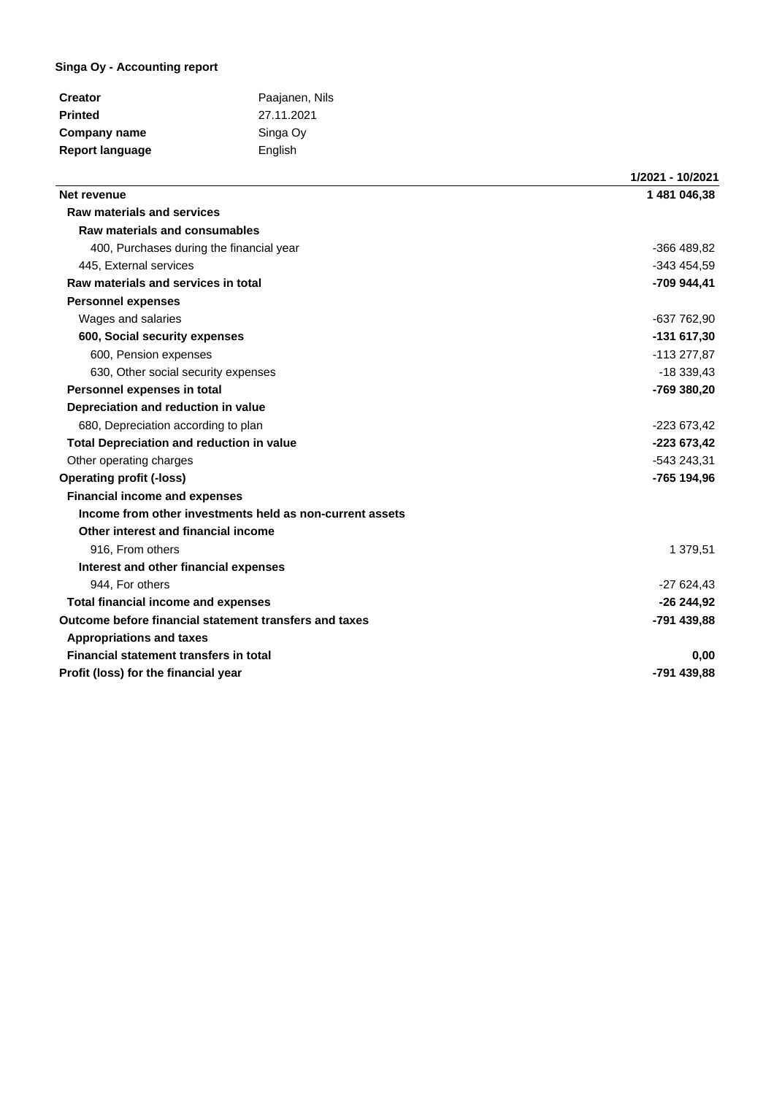## **Singa Oy - Accounting report**

| <b>Creator</b>         | Paajanen, Nils |
|------------------------|----------------|
| <b>Printed</b>         | 27.11.2021     |
| Company name           | Singa Oy       |
| <b>Report language</b> | English        |

|                                                          | 1/2021 - 10/2021 |
|----------------------------------------------------------|------------------|
| Net revenue                                              | 1481046.38       |
| <b>Raw materials and services</b>                        |                  |
| Raw materials and consumables                            |                  |
| 400, Purchases during the financial year                 | -366 489,82      |
| 445, External services                                   | -343 454,59      |
| Raw materials and services in total                      | -709 944,41      |
| <b>Personnel expenses</b>                                |                  |
| Wages and salaries                                       | -637 762,90      |
| 600, Social security expenses                            | $-131617,30$     |
| 600, Pension expenses                                    | -113 277,87      |
| 630, Other social security expenses                      | $-18339.43$      |
| Personnel expenses in total                              | -769 380,20      |
| Depreciation and reduction in value                      |                  |
| 680, Depreciation according to plan                      | -223 673,42      |
| <b>Total Depreciation and reduction in value</b>         | -223 673,42      |
| Other operating charges                                  | -543 243,31      |
| <b>Operating profit (-loss)</b>                          | -765 194,96      |
| <b>Financial income and expenses</b>                     |                  |
| Income from other investments held as non-current assets |                  |
| Other interest and financial income                      |                  |
| 916, From others                                         | 1 379,51         |
| Interest and other financial expenses                    |                  |
| 944, For others                                          | $-27624,43$      |
| <b>Total financial income and expenses</b>               | $-26244,92$      |
| Outcome before financial statement transfers and taxes   | -791 439,88      |
| <b>Appropriations and taxes</b>                          |                  |
| Financial statement transfers in total                   | 0,00             |
| Profit (loss) for the financial year                     | -791 439.88      |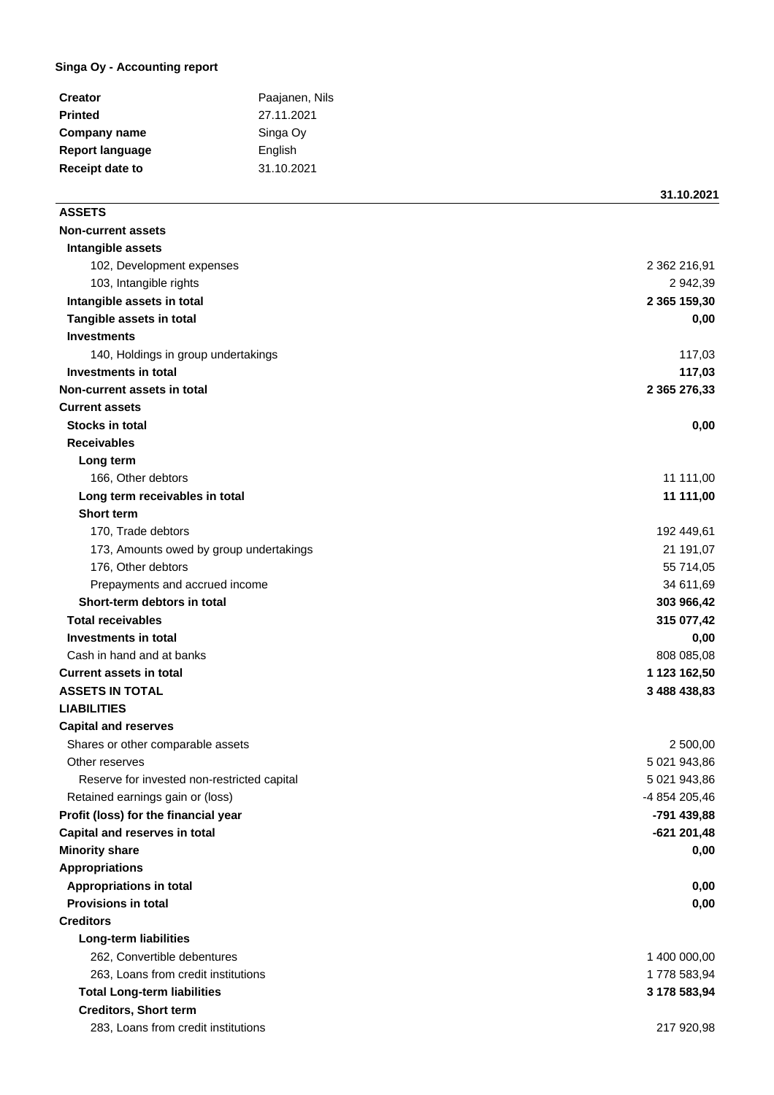## **Singa Oy - Accounting report**

| Paajanen, Nils |
|----------------|
| 27.11.2021     |
| Singa Oy       |
| English        |
| 31.10.2021     |
|                |

## **ASSETS**

**31.10.2021**

| <b>Non-current assets</b>                   |               |
|---------------------------------------------|---------------|
| Intangible assets                           |               |
| 102, Development expenses                   | 2 362 216,91  |
| 103, Intangible rights                      | 2 942,39      |
| Intangible assets in total                  | 2 365 159,30  |
| Tangible assets in total                    | 0,00          |
| <b>Investments</b>                          |               |
| 140, Holdings in group undertakings         | 117,03        |
| Investments in total                        | 117,03        |
| Non-current assets in total                 | 2 365 276,33  |
| <b>Current assets</b>                       |               |
| <b>Stocks in total</b>                      | 0,00          |
| <b>Receivables</b>                          |               |
| Long term                                   |               |
| 166, Other debtors                          | 11 111,00     |
| Long term receivables in total              | 11 111,00     |
| <b>Short term</b>                           |               |
| 170, Trade debtors                          | 192 449,61    |
| 173, Amounts owed by group undertakings     | 21 191,07     |
| 176, Other debtors                          | 55 714,05     |
| Prepayments and accrued income              | 34 611,69     |
| Short-term debtors in total                 | 303 966,42    |
| <b>Total receivables</b>                    | 315 077,42    |
| <b>Investments in total</b>                 | 0,00          |
| Cash in hand and at banks                   | 808 085,08    |
| <b>Current assets in total</b>              | 1 123 162,50  |
| <b>ASSETS IN TOTAL</b>                      | 3 488 438,83  |
| <b>LIABILITIES</b>                          |               |
| <b>Capital and reserves</b>                 |               |
| Shares or other comparable assets           | 2 500,00      |
| Other reserves                              | 5 021 943,86  |
| Reserve for invested non-restricted capital | 5 021 943,86  |
| Retained earnings gain or (loss)            | -4 854 205,46 |
| Profit (loss) for the financial year        | -791 439,88   |
| Capital and reserves in total               | $-621201,48$  |
| <b>Minority share</b>                       | 0,00          |
| <b>Appropriations</b>                       |               |
| <b>Appropriations in total</b>              | 0,00          |
| <b>Provisions in total</b>                  | 0,00          |
| <b>Creditors</b>                            |               |
| <b>Long-term liabilities</b>                |               |
| 262, Convertible debentures                 | 1 400 000,00  |
| 263, Loans from credit institutions         | 1778 583,94   |
| <b>Total Long-term liabilities</b>          | 3 178 583,94  |
| <b>Creditors, Short term</b>                |               |
| 283, Loans from credit institutions         | 217 920,98    |